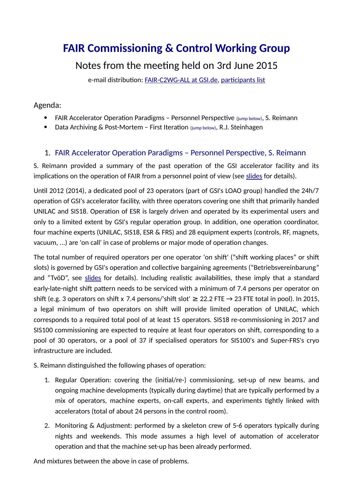# **FAIR Commissioning & Control Working Group**

# Notes from the meeting held on 3rd June 2015

e-mail distribution: [FAIR-C2WG-ALL at GSI.de,](mailto:FAIR-C2WG-ALL%20(at)%20GSI%20(punkt)%20de) [participants list](https://fair-wiki.gsi.de/foswiki/pub/FC2WG/FairC2WGMinutes/20150603_FCWG_AttendanceList.pdf)

Agenda:

- FAIR Accelerator Operation Paradigms Personnel Perspective (jump [below\)](#page-0-0), S. Reimann
- Data Archiving & Post-Mortem First Iteration (jump [below\)](#page-2-0), R.J. Steinhagen

# <span id="page-0-0"></span>1. FAIR Accelerator Operation Paradigms – Personnel Perspective, S. Reimann

S. Reimann provided a summary of the past operation of the GSI accelerator facility and its implications on the operation of FAIR from a personnel point of view (see [slides](https://fair-wiki.gsi.de/foswiki/pub/FC2WG/FairC2WGMinutes/20150603_FCWG_operation_paradigm.pdf) for details).

Until 2012 (2014), a dedicated pool of 23 operators (part of GSI's LOAO group) handled the 24h/7 operation of GSI's accelerator facility, with three operators covering one shift that primarily handed UNILAC and SIS18. Operation of ESR is largely driven and operated by its experimental users and only to a limited extent by GSI's regular operation group. In addition, one operation coordinator, four machine experts (UNILAC, SIS18, ESR & FRS) and 28 equipment experts (controls, RF, magnets, vacuum, ...) are 'on call' in case of problems or major mode of operation changes.

The total number of required operators per one operator 'on shift' ("shift working places" or shift slots) is governed by GSI's operation and collective bargaining agreements ("Betriebsvereinbarung" and "TvöD", see [slides](https://fair-wiki.gsi.de/foswiki/pub/FC2WG/FairC2WGMinutes/20150603_FCWG_operation_paradigm.pdf) for details). Including realistic availabilities, these imply that a standard early-late-night shift pattern needs to be serviced with a minimum of 7.4 persons per operator on shift (e.g. 3 operators on shift x 7.4 persons/'shift slot'  $\geq$  22.2 FTE  $\rightarrow$  23 FTE total in pool). In 2015, a legal minimum of two operators on shift will provide limited operation of UNILAC, which corresponds to a required total pool of at least 15 operators. SIS18 re-commissioning in 2017 and SIS100 commissioning are expected to require at least four operators on shift, corresponding to a pool of 30 operators, or a pool of 37 if specialised operators for SIS100's and Super-FRS's cryo infrastructure are included.

S. Reimann distinguished the following phases of operation:

- 1. Regular Operation: covering the (initial/re-) commissioning, set-up of new beams, and ongoing machine developments (typically during daytime) that are typically performed by a mix of operators, machine experts, on-call experts, and experiments tightly linked with accelerators (total of about 24 persons in the control room).
- 2. Monitoring & Adjustment: performed by a skeleton crew of 5-6 operators typically during nights and weekends. This mode assumes a high level of automation of accelerator operation and that the machine set-up has been already performed.

And mixtures between the above in case of problems.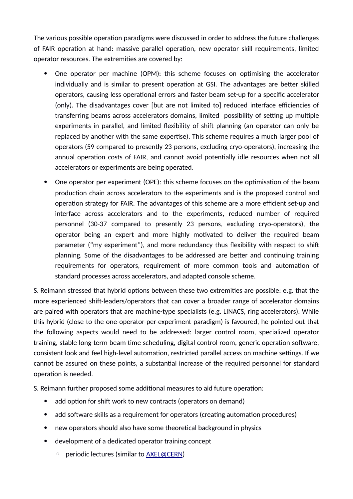The various possible operation paradigms were discussed in order to address the future challenges of FAIR operation at hand: massive parallel operation, new operator skill requirements, limited operator resources. The extremities are covered by:

- One operator per machine (OPM): this scheme focuses on optimising the accelerator individually and is similar to present operation at GSI. The advantages are better skilled operators, causing less operational errors and faster beam set-up for a specific accelerator (only). The disadvantages cover [but are not limited to] reduced interface efficiencies of transferring beams across accelerators domains, limited possibility of setting up multiple experiments in parallel, and limited flexibility of shift planning (an operator can only be replaced by another with the same expertise). This scheme requires a much larger pool of operators (59 compared to presently 23 persons, excluding cryo-operators), increasing the annual operation costs of FAIR, and cannot avoid potentially idle resources when not all accelerators or experiments are being operated.
- One operator per experiment (OPE): this scheme focuses on the optimisation of the beam production chain across accelerators to the experiments and is the proposed control and operation strategy for FAIR. The advantages of this scheme are a more efficient set-up and interface across accelerators and to the experiments, reduced number of required personnel (30-37 compared to presently 23 persons, excluding cryo-operators), the operator being an expert and more highly motivated to deliver the required beam parameter ("my experiment"), and more redundancy thus flexibility with respect to shift planning. Some of the disadvantages to be addressed are better and continuing training requirements for operators, requirement of more common tools and automation of standard processes across accelerators, and adapted console scheme.

S. Reimann stressed that hybrid options between these two extremities are possible: e.g. that the more experienced shift-leaders/operators that can cover a broader range of accelerator domains are paired with operators that are machine-type specialists (e.g. LINACS, ring accelerators). While this hybrid (close to the one-operator-per-experiment paradigm) is favoured, he pointed out that the following aspects would need to be addressed: larger control room, specialized operator training, stable long-term beam time scheduling, digital control room, generic operation software, consistent look and feel high-level automation, restricted parallel access on machine settings. If we cannot be assured on these points, a substantial increase of the required personnel for standard operation is needed.

S. Reimann further proposed some additional measures to aid future operation:

- add option for shift work to new contracts (operators on demand)
- add software skills as a requirement for operators (creating automation procedures)
- new operators should also have some theoretical background in physics
- development of a dedicated operator training concept
	- periodic lectures (similar to [AXEL@CERN\)](mailto:AXEL@CERN)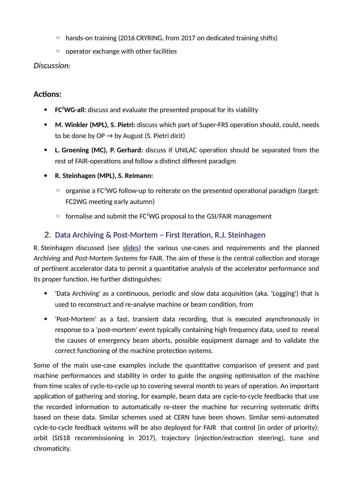- hands-on training (2016 CRYRING, from 2017 on dedicated training shifts)
- operator exchange with other facilities

#### *Discussion:*

## **Actions:**

- **FC<sup>2</sup>WG-all:** discuss and evaluate the presented proposal for its viability
- **M. Winkler (MPL), S. Pietri:** discuss which part of Super-FRS operation should, could, needs to be done by  $OP \rightarrow$  by August (S. Pietri dicit)
- **L. Groening (MC), P. Gerhard:** discuss if UNILAC operation should be separated from the rest of FAIR-operations and follow a distinct different paradigm
- **R. Steinhagen (MPL), S. Reimann:** 
	- organise a FC<sup>2</sup>WG follow-up to reiterate on the presented operational paradigm (target: FC2WG meeting early autumn)
	- formalise and submit the FC<sup>2</sup>WG proposal to the GSI/FAIR management

### <span id="page-2-0"></span>2. Data Archiving & Post-Mortem – First Iteration, R.J. Steinhagen

R. Steinhagen discussed (see [slides\)](https://fair-wiki.gsi.de/foswiki/pub/FC2WG/FairC2WGMinutes/20150603_FCWG_Archiving_and_PM.pdf) the various use-cases and requirements and the planned *Archiving* and *Post-Mortem Systems* for FAIR. The aim of these is the central collection and storage of pertinent accelerator data to permit a quantitative analysis of the accelerator performance and its proper function. He further distinguishes:

- 'Data Archiving' as a continuous, periodic and slow data acquisition (aka. 'Logging') that is used to reconstruct and re-analyse machine or beam condition, from
- 'Post-Mortem' as a fast, transient data recording, that is executed asynchronously in response to a 'post-mortem' event typically containing high frequency data, used to reveal the causes of emergency beam aborts, possible equipment damage and to validate the correct functioning of the machine protection systems.

Some of the main use-case examples include the quantitative comparison of present and past machine performances and stability in order to guide the ongoing optimisation of the machine from time scales of cycle-to-cycle up to covering several month to years of operation. An important application of gathering and storing, for example, beam data are cycle-to-cycle feedbacks that use the recorded information to automatically re-steer the machine for recurring systematic drifts based on these data. Similar schemes used at CERN have been shown. Similar semi-automated cycle-to-cycle feedback systems will be also deployed for FAIR that control (in order of priority): orbit (SIS18 recommissioning in 2017), trajectory (injection/extraction steering), tune and chromaticity.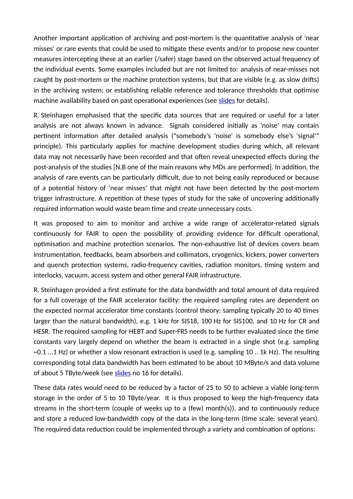Another important application of archiving and post-mortem is the quantitative analysis of 'near misses' or rare events that could be used to mitigate these events and/or to propose new counter measures intercepting these at an earlier (/safer) stage based on the observed actual frequency of the individual events. Some examples included but are not limited to: analysis of near-misses not caught by post-mortem or the machine protection systems, but that are visible (e.g. as slow drifts) in the archiving system; or establishing reliable reference and tolerance thresholds that optimise machine availability based on past operational experiences (see [slides](https://fair-wiki.gsi.de/foswiki/pub/FC2WG/FairC2WGMinutes/20150603_FCWG_Archiving_and_PM.pdf) for details).

R. Steinhagen emphasised that the specific data sources that are required or useful for a later analysis are not always known in advance. Signals considered initially as 'noise' may contain pertinent information after detailed analysis ("somebody's 'noise' is somebody else's 'signal'" principle). This particularly applies for machine development studies during which, all relevant data may not necessarily have been recorded and that often reveal unexpected effects during the post-analysis of the studies [N.B one of the main reasons why MDs are performed]. In addition, the analysis of rare events can be particularly difficult, due to not being easily reproduced or because of a potential history of 'near misses' that might not have been detected by the post-mortem trigger infrastructure. A repetition of these types of study for the sake of uncovering additionally required information would waste beam time and create unnecessary costs.

It was proposed to aim to monitor and archive a wide range of accelerator-related signals continuously for FAIR to open the possibility of providing evidence for difficult operational, optimisation and machine protection scenarios. The non-exhaustive list of devices covers beam instrumentation, feedbacks, beam absorbers and collimators, cryogenics, kickers, power converters and quench protection systems, radio-frequency cavities, radiation monitors, timing system and interlocks, vacuum, access system and other general FAIR infrastructure.

R. Steinhagen provided a first estimate for the data bandwidth and total amount of data required for a full coverage of the FAIR accelerator facility: the required sampling rates are dependent on the expected normal accelerator time constants (control theory: sampling typically 20 to 40 times larger than the natural bandwidth), e.g. 1 kHz for SIS18, 100 Hz for SIS100, and 10 Hz for CR and HESR. The required sampling for HEBT and Super-FRS needs to be further evaluated since the time constants vary largely depend on whether the beam is extracted in a single shot (e.g. sampling  $\sim$ 0.1 ...1 Hz) or whether a slow resonant extraction is used (e.g. sampling 10 .. 1k Hz). The resulting corresponding total data bandwidth has been estimated to be about 10 MByte/s and data volume of about 5 TByte/week (see [slides](https://fair-wiki.gsi.de/foswiki/pub/FC2WG/FairC2WGMinutes/20150603_FCWG_Archiving_and_PM.pdf) no 16 for details).

These data rates would need to be reduced by a factor of 25 to 50 to achieve a viable long-term storage in the order of 5 to 10 TByte/year. It is thus proposed to keep the high-frequency data streams in the short-term (couple of weeks up to a (few) month(s)), and to continuously reduce and store a reduced low-bandwidth copy of the data in the long-term (time scale: several years). The required data reduction could be implemented through a variety and combination of options: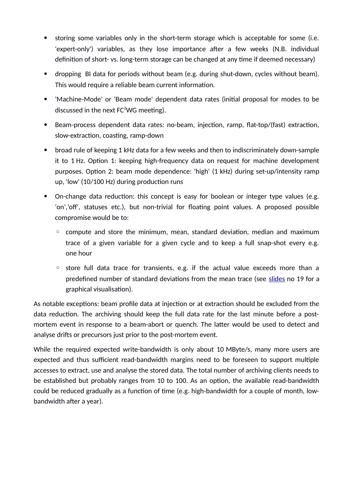- storing some variables only in the short-term storage which is acceptable for some (i.e. 'expert-only') variables, as they lose importance after a few weeks (N.B. individual definition of short- vs. long-term storage can be changed at any time if deemed necessary)
- dropping BI data for periods without beam (e.g. during shut-down, cycles without beam). This would require a reliable beam current information.
- 'Machine-Mode' or 'Beam mode' dependent data rates (initial proposal for modes to be discussed in the next  $FC<sup>2</sup>WG$  meeting).
- Beam-process dependent data rates: no-beam, injection, ramp, flat-top/(fast) extraction, slow-extraction, coasting, ramp-down
- broad rule of keeping 1 kHz data for a few weeks and then to indiscriminately down-sample it to 1 Hz. Option 1: keeping high-frequency data on request for machine development purposes. Option 2: beam mode dependence: 'high' (1 kHz) during set-up/intensity ramp up, 'low' (10/100 Hz) during production runs
- On-change data reduction: this concept is easy for boolean or integer type values (e.g. 'on','off', statuses etc.), but non-trivial for floating point values. A proposed possible compromise would be to:
	- compute and store the minimum, mean, standard deviation, median and maximum trace of a given variable for a given cycle and to keep a full snap-shot every e.g. one hour
	- store full data trace for transients, e.g. if the actual value exceeds more than a predefined number of standard deviations from the mean trace (see [slides](https://fair-wiki.gsi.de/foswiki/pub/FC2WG/FairC2WGMinutes/20150603_FCWG_Archiving_and_PM.pdf) no 19 for a graphical visualisation).

As notable exceptions: beam profile data at injection or at extraction should be excluded from the data reduction. The archiving should keep the full data rate for the last minute before a postmortem event in response to a beam-abort or quench. The latter would be used to detect and analyse drifts or precursors just prior to the post-mortem event.

While the required expected write-bandwidth is only about 10 MByte/s, many more users are expected and thus sufficient read-bandwidth margins need to be foreseen to support multiple accesses to extract, use and analyse the stored data. The total number of archiving clients needs to be established but probably ranges from 10 to 100. As an option, the available read-bandwidth could be reduced gradually as a function of time (e.g. high-bandwidth for a couple of month, lowbandwidth after a year).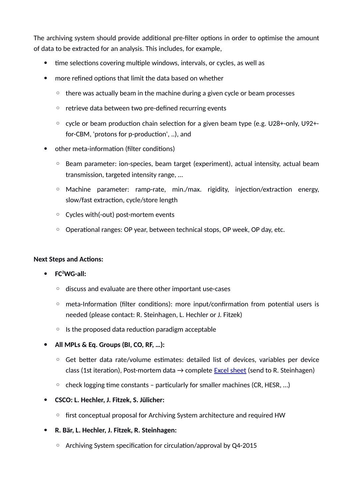The archiving system should provide additional pre-filter options in order to optimise the amount of data to be extracted for an analysis. This includes, for example,

- time selections covering multiple windows, intervals, or cycles, as well as
- more refined options that limit the data based on whether
	- there was actually beam in the machine during a given cycle or beam processes
	- retrieve data between two pre-defined recurring events
	- cycle or beam production chain selection for a given beam type (e.g. U28+-only, U92+ for-CBM, 'protons for p-production', ..), and
- other meta-information (filter conditions)
	- Beam parameter: ion-species, beam target (experiment), actual intensity, actual beam transmission, targeted intensity range, …
	- Machine parameter: ramp-rate, min./max. rigidity, injection/extraction energy, slow/fast extraction, cycle/store length
	- Cycles with(-out) post-mortem events
	- Operational ranges: OP year, between technical stops, OP week, OP day, etc.

#### **Next Steps and Actions:**

- **FC<sup>2</sup>WG-all:**
	- discuss and evaluate are there other important use-cases
	- meta-Information (filter conditions): more input/confirmation from potential users is needed (please contact: R. Steinhagen, L. Hechler or J. Fitzek)
	- Is the proposed data reduction paradigm acceptable
- **All MPLs & Eq. Groups (BI, CO, RF, …):**
	- Get better data rate/volume estimates: detailed list of devices, variables per device class (1st iteration), Post-mortem data  $\rightarrow$  complete [Excel sheet](https://fair-wiki.gsi.de/foswiki/pub/FC2WG/FairC2WGMinutes/20150603_FAIR_Archiving_VarDef_template.xls) (send to R. Steinhagen)
	- check logging time constants particularly for smaller machines (CR, HESR, …)
- **CSCO: L. Hechler, J. Fitzek, S. Jülicher:**
	- first conceptual proposal for Archiving System architecture and required HW
- **R. Bär, L. Hechler, J. Fitzek, R. Steinhagen:**
	- Archiving System specification for circulation/approval by Q4-2015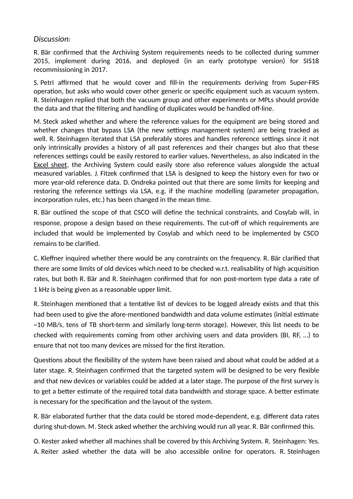#### *Discussion:*

R. Bär confirmed that the Archiving System requirements needs to be collected during summer 2015, implement during 2016, and deployed (in an early prototype version) for SIS18 recommissioning in 2017.

S. Petri affirmed that he would cover and fill-in the requirements deriving from Super-FRS operation, but asks who would cover other generic or specific equipment such as vacuum system. R. Steinhagen replied that both the vacuum group and other experiments or MPLs should provide the data and that the filtering and handling of duplicates would be handled off-line.

M. Steck asked whether and where the reference values for the equipment are being stored and whether changes that bypass LSA (the new settings management system) are being tracked as well. R. Steinhagen iterated that LSA preferably stores and handles reference settings since it not only intrinsically provides a history of all past references and their changes but also that these references settings could be easily restored to earlier values. Nevertheless, as also indicated in the [Excel sheet,](https://fair-wiki.gsi.de/foswiki/pub/FC2WG/FairC2WGMinutes/20150603_FAIR_Archiving_VarDef_template.xls) the Archiving System could easily store also reference values alongside the actual measured variables. J. Fitzek confirmed that LSA is designed to keep the history even for two or more year-old reference data. D. Ondreka pointed out that there are some limits for keeping and restoring the reference settings via LSA, e.g. if the machine modelling (parameter propagation, incorporation rules, etc.) has been changed in the mean time.

R. Bär outlined the scope of that CSCO will define the technical constraints, and Cosylab will, in response, propose a design based on these requirements. The cut-off of which requirements are included that would be implemented by Cosylab and which need to be implemented by CSCO remains to be clarified.

C. Kleffner inquired whether there would be any constraints on the frequency. R. Bär clarified that there are some limits of old devices which need to be checked w.r.t. realisability of high acquisition rates, but both R. Bär and R. Steinhagen confirmed that for non post-mortem type data a rate of 1 kHz is being given as a reasonable upper limit.

R. Steinhagen mentioned that a tentative list of devices to be logged already exists and that this had been used to give the afore-mentioned bandwidth and data volume estimates (initial estimate ~10 MB/s, tens of TB short-term and similarly long-term storage). However, this list needs to be checked with requirements coming from other archiving users and data providers (BI, RF, …) to ensure that not too many devices are missed for the first iteration.

Questions about the flexibility of the system have been raised and about what could be added at a later stage. R. Steinhagen confirmed that the targeted system will be designed to be very flexible and that new devices or variables could be added at a later stage. The purpose of the first survey is to get a better estimate of the required total data bandwidth and storage space. A better estimate is necessary for the specification and the layout of the system.

R. Bär elaborated further that the data could be stored mode-dependent, e.g. different data rates during shut-down. M. Steck asked whether the archiving would run all year. R. Bär confirmed this.

O. Kester asked whether all machines shall be covered by this Archiving System. R. Steinhagen: Yes. A. Reiter asked whether the data will be also accessible online for operators. R. Steinhagen